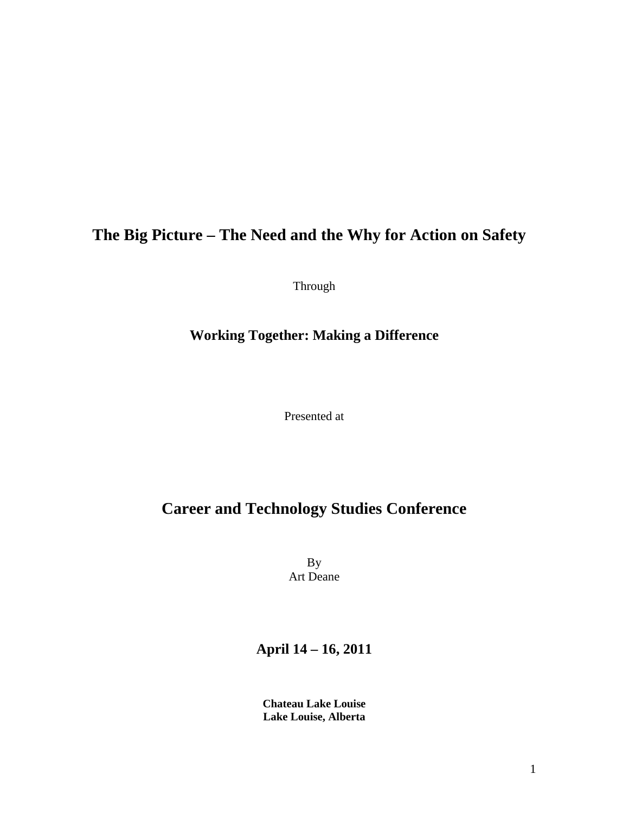# **The Big Picture – The Need and the Why for Action on Safety**

Through

# **Working Together: Making a Difference**

Presented at

# **Career and Technology Studies Conference**

By Art Deane

# **April 14 – 16, 2011**

**Chateau Lake Louise Lake Louise, Alberta**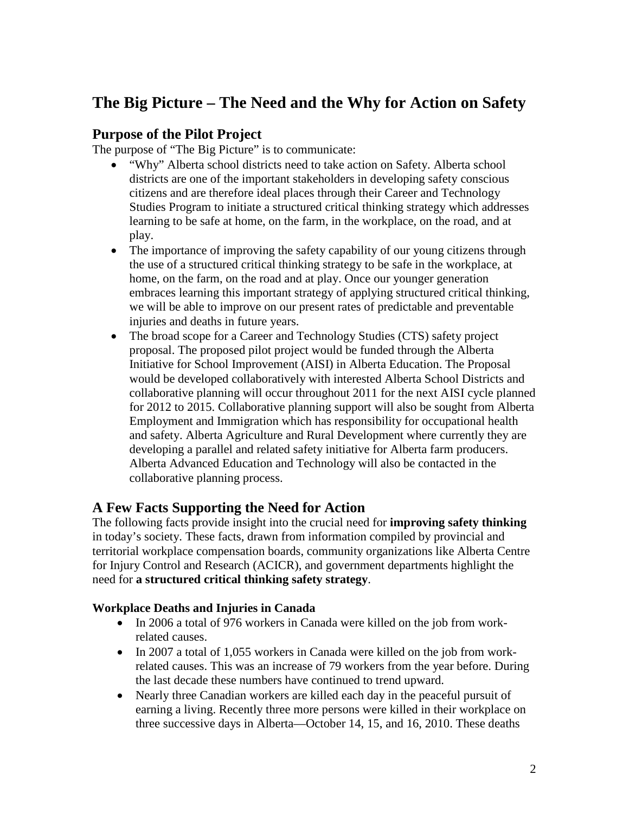# **The Big Picture – The Need and the Why for Action on Safety**

## **Purpose of the Pilot Project**

The purpose of "The Big Picture" is to communicate:

- "Why" Alberta school districts need to take action on Safety. Alberta school districts are one of the important stakeholders in developing safety conscious citizens and are therefore ideal places through their Career and Technology Studies Program to initiate a structured critical thinking strategy which addresses learning to be safe at home, on the farm, in the workplace, on the road, and at play.
- The importance of improving the safety capability of our young citizens through the use of a structured critical thinking strategy to be safe in the workplace, at home, on the farm, on the road and at play. Once our younger generation embraces learning this important strategy of applying structured critical thinking, we will be able to improve on our present rates of predictable and preventable injuries and deaths in future years.
- The broad scope for a Career and Technology Studies (CTS) safety project proposal. The proposed pilot project would be funded through the Alberta Initiative for School Improvement (AISI) in Alberta Education. The Proposal would be developed collaboratively with interested Alberta School Districts and collaborative planning will occur throughout 2011 for the next AISI cycle planned for 2012 to 2015. Collaborative planning support will also be sought from Alberta Employment and Immigration which has responsibility for occupational health and safety. Alberta Agriculture and Rural Development where currently they are developing a parallel and related safety initiative for Alberta farm producers. Alberta Advanced Education and Technology will also be contacted in the collaborative planning process.

## **A Few Facts Supporting the Need for Action**

The following facts provide insight into the crucial need for **improving safety thinking** in today's society. These facts, drawn from information compiled by provincial and territorial workplace compensation boards, community organizations like Alberta Centre for Injury Control and Research (ACICR), and government departments highlight the need for **a structured critical thinking safety strategy**.

#### **Workplace Deaths and Injuries in Canada**

- In 2006 a total of 976 workers in Canada were killed on the job from workrelated causes.
- In 2007 a total of 1,055 workers in Canada were killed on the job from workrelated causes. This was an increase of 79 workers from the year before. During the last decade these numbers have continued to trend upward.
- Nearly three Canadian workers are killed each day in the peaceful pursuit of earning a living. Recently three more persons were killed in their workplace on three successive days in Alberta—October 14, 15, and 16, 2010. These deaths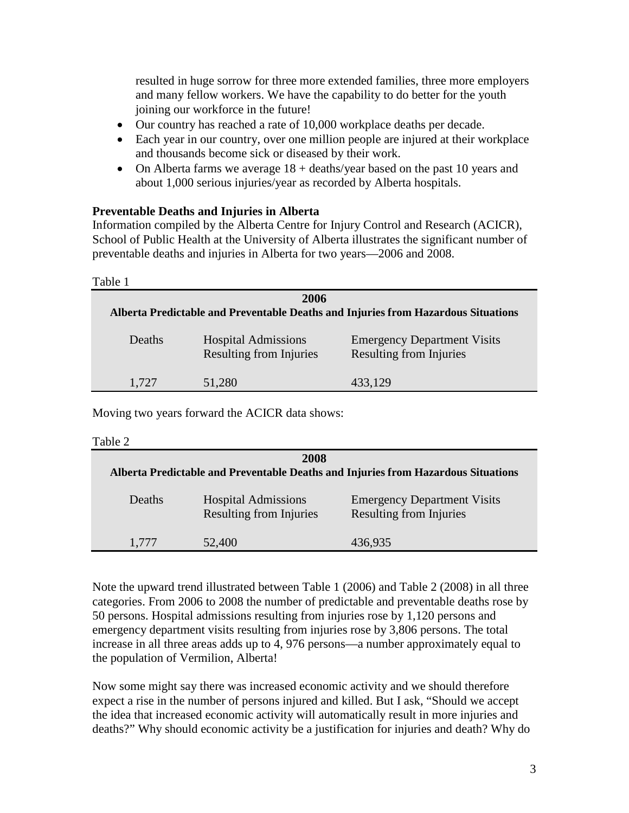resulted in huge sorrow for three more extended families, three more employers and many fellow workers. We have the capability to do better for the youth joining our workforce in the future!

- Our country has reached a rate of 10,000 workplace deaths per decade.
- Each year in our country, over one million people are injured at their workplace and thousands become sick or diseased by their work.
- On Alberta farms we average  $18 +$  deaths/year based on the past 10 years and about 1,000 serious injuries/year as recorded by Alberta hospitals.

#### **Preventable Deaths and Injuries in Alberta**

Information compiled by the Alberta Centre for Injury Control and Research (ACICR), School of Public Health at the University of Alberta illustrates the significant number of preventable deaths and injuries in Alberta for two years—2006 and 2008.

| Table 1                                                                                   |                                                              |                                                                      |  |  |
|-------------------------------------------------------------------------------------------|--------------------------------------------------------------|----------------------------------------------------------------------|--|--|
| 2006<br>Alberta Predictable and Preventable Deaths and Injuries from Hazardous Situations |                                                              |                                                                      |  |  |
| Deaths                                                                                    | <b>Hospital Admissions</b><br><b>Resulting from Injuries</b> | <b>Emergency Department Visits</b><br><b>Resulting from Injuries</b> |  |  |
| 1,727                                                                                     | 51,280                                                       | 433,129                                                              |  |  |

Moving two years forward the ACICR data shows:

| anie |  |
|------|--|
|------|--|

| 2008<br>Alberta Predictable and Preventable Deaths and Injuries from Hazardous Situations |                                                       |                                                               |  |  |
|-------------------------------------------------------------------------------------------|-------------------------------------------------------|---------------------------------------------------------------|--|--|
| Deaths                                                                                    | <b>Hospital Admissions</b><br>Resulting from Injuries | <b>Emergency Department Visits</b><br>Resulting from Injuries |  |  |
| 1,777                                                                                     | 52,400                                                | 436,935                                                       |  |  |

Note the upward trend illustrated between Table 1 (2006) and Table 2 (2008) in all three categories. From 2006 to 2008 the number of predictable and preventable deaths rose by 50 persons. Hospital admissions resulting from injuries rose by 1,120 persons and emergency department visits resulting from injuries rose by 3,806 persons. The total increase in all three areas adds up to 4, 976 persons—a number approximately equal to the population of Vermilion, Alberta!

Now some might say there was increased economic activity and we should therefore expect a rise in the number of persons injured and killed. But I ask, "Should we accept the idea that increased economic activity will automatically result in more injuries and deaths?" Why should economic activity be a justification for injuries and death? Why do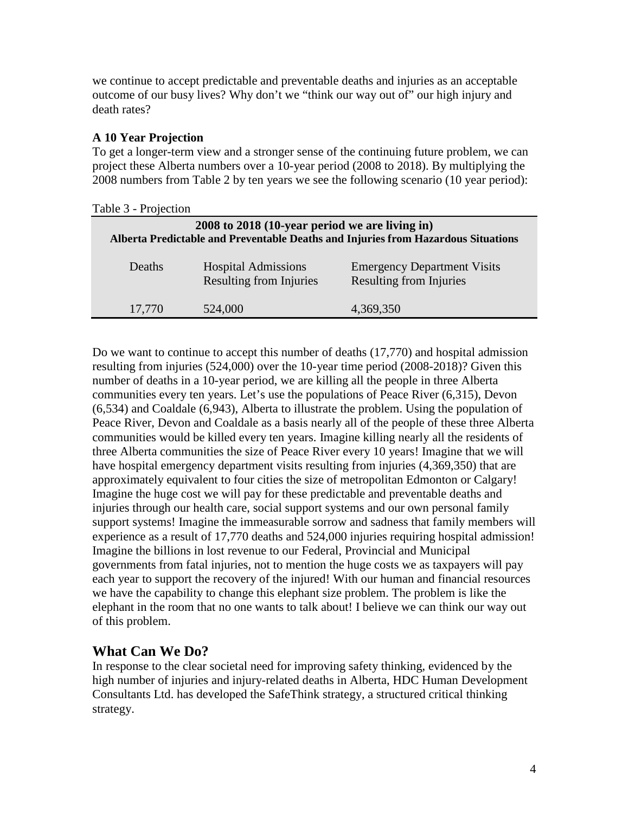we continue to accept predictable and preventable deaths and injuries as an acceptable outcome of our busy lives? Why don't we "think our way out of" our high injury and death rates?

### **A 10 Year Projection**

To get a longer-term view and a stronger sense of the continuing future problem, we can project these Alberta numbers over a 10-year period (2008 to 2018). By multiplying the 2008 numbers from Table 2 by ten years we see the following scenario (10 year period):

| Table 3 - Projection                                                                                                                |                                                       |                                                               |  |  |
|-------------------------------------------------------------------------------------------------------------------------------------|-------------------------------------------------------|---------------------------------------------------------------|--|--|
| 2008 to 2018 (10-year period we are living in)<br>Alberta Predictable and Preventable Deaths and Injuries from Hazardous Situations |                                                       |                                                               |  |  |
| Deaths                                                                                                                              | <b>Hospital Admissions</b><br>Resulting from Injuries | <b>Emergency Department Visits</b><br>Resulting from Injuries |  |  |
| 17,770                                                                                                                              | 524,000                                               | 4,369,350                                                     |  |  |

Do we want to continue to accept this number of deaths (17,770) and hospital admission resulting from injuries (524,000) over the 10-year time period (2008-2018)? Given this number of deaths in a 10-year period, we are killing all the people in three Alberta communities every ten years. Let's use the populations of Peace River (6,315), Devon (6,534) and Coaldale (6,943), Alberta to illustrate the problem. Using the population of Peace River, Devon and Coaldale as a basis nearly all of the people of these three Alberta communities would be killed every ten years. Imagine killing nearly all the residents of three Alberta communities the size of Peace River every 10 years! Imagine that we will have hospital emergency department visits resulting from injuries (4,369,350) that are approximately equivalent to four cities the size of metropolitan Edmonton or Calgary! Imagine the huge cost we will pay for these predictable and preventable deaths and injuries through our health care, social support systems and our own personal family support systems! Imagine the immeasurable sorrow and sadness that family members will experience as a result of 17,770 deaths and 524,000 injuries requiring hospital admission! Imagine the billions in lost revenue to our Federal, Provincial and Municipal governments from fatal injuries, not to mention the huge costs we as taxpayers will pay each year to support the recovery of the injured! With our human and financial resources we have the capability to change this elephant size problem. The problem is like the elephant in the room that no one wants to talk about! I believe we can think our way out of this problem.

# **What Can We Do?**

In response to the clear societal need for improving safety thinking, evidenced by the high number of injuries and injury-related deaths in Alberta, HDC Human Development Consultants Ltd. has developed the SafeThink strategy, a structured critical thinking strategy.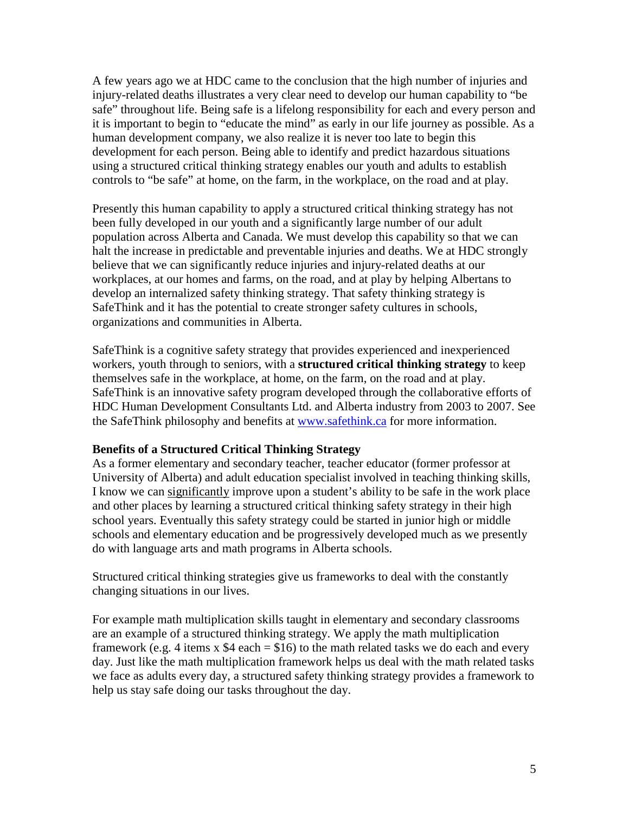A few years ago we at HDC came to the conclusion that the high number of injuries and injury-related deaths illustrates a very clear need to develop our human capability to "be safe" throughout life. Being safe is a lifelong responsibility for each and every person and it is important to begin to "educate the mind" as early in our life journey as possible. As a human development company, we also realize it is never too late to begin this development for each person. Being able to identify and predict hazardous situations using a structured critical thinking strategy enables our youth and adults to establish controls to "be safe" at home, on the farm, in the workplace, on the road and at play.

Presently this human capability to apply a structured critical thinking strategy has not been fully developed in our youth and a significantly large number of our adult population across Alberta and Canada. We must develop this capability so that we can halt the increase in predictable and preventable injuries and deaths. We at HDC strongly believe that we can significantly reduce injuries and injury-related deaths at our workplaces, at our homes and farms, on the road, and at play by helping Albertans to develop an internalized safety thinking strategy. That safety thinking strategy is SafeThink and it has the potential to create stronger safety cultures in schools, organizations and communities in Alberta.

SafeThink is a cognitive safety strategy that provides experienced and inexperienced workers, youth through to seniors, with a **structured critical thinking strategy** to keep themselves safe in the workplace, at home, on the farm, on the road and at play. SafeThink is an innovative safety program developed through the collaborative efforts of HDC Human Development Consultants Ltd. and Alberta industry from 2003 to 2007. See the SafeThink philosophy and benefits at [www.safethink.ca](http://www.safethink.ca/) for more information.

#### **Benefits of a Structured Critical Thinking Strategy**

As a former elementary and secondary teacher, teacher educator (former professor at University of Alberta) and adult education specialist involved in teaching thinking skills, I know we can significantly improve upon a student's ability to be safe in the work place and other places by learning a structured critical thinking safety strategy in their high school years. Eventually this safety strategy could be started in junior high or middle schools and elementary education and be progressively developed much as we presently do with language arts and math programs in Alberta schools.

Structured critical thinking strategies give us frameworks to deal with the constantly changing situations in our lives.

For example math multiplication skills taught in elementary and secondary classrooms are an example of a structured thinking strategy. We apply the math multiplication framework (e.g. 4 items x  $$4$  each =  $$16$ ) to the math related tasks we do each and every day. Just like the math multiplication framework helps us deal with the math related tasks we face as adults every day, a structured safety thinking strategy provides a framework to help us stay safe doing our tasks throughout the day.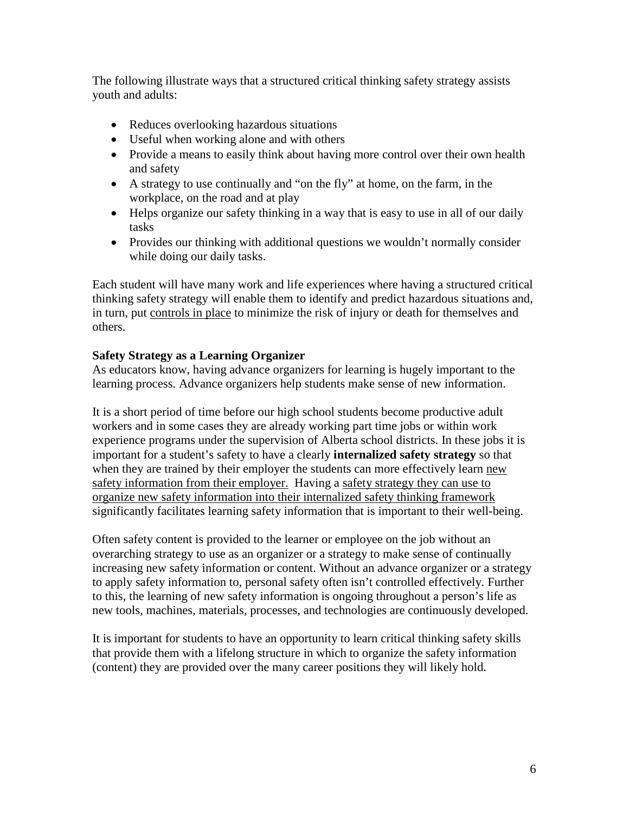The following illustrate ways that a structured critical thinking safety strategy assists youth and adults:

- Reduces overlooking hazardous situations
- Useful when working alone and with others
- Provide a means to easily think about having more control over their own health and safety
- A strategy to use continually and "on the fly" at home, on the farm, in the workplace, on the road and at play
- Helps organize our safety thinking in a way that is easy to use in all of our daily tasks
- Provides our thinking with additional questions we wouldn't normally consider while doing our daily tasks.

Each student will have many work and life experiences where having a structured critical thinking safety strategy will enable them to identify and predict hazardous situations and, in turn, put controls in place to minimize the risk of injury or death for themselves and others.

### **Safety Strategy as a Learning Organizer**

As educators know, having advance organizers for learning is hugely important to the learning process. Advance organizers help students make sense of new information.

It is a short period of time before our high school students become productive adult workers and in some cases they are already working part time jobs or within work experience programs under the supervision of Alberta school districts. In these jobs it is important for a student's safety to have a clearly **internalized safety strategy** so that when they are trained by their employer the students can more effectively learn new safety information from their employer. Having a safety strategy they can use to organize new safety information into their internalized safety thinking framework significantly facilitates learning safety information that is important to their well-being.

Often safety content is provided to the learner or employee on the job without an overarching strategy to use as an organizer or a strategy to make sense of continually increasing new safety information or content. Without an advance organizer or a strategy to apply safety information to, personal safety often isn't controlled effectively. Further to this, the learning of new safety information is ongoing throughout a person's life as new tools, machines, materials, processes, and technologies are continuously developed.

It is important for students to have an opportunity to learn critical thinking safety skills that provide them with a lifelong structure in which to organize the safety information (content) they are provided over the many career positions they will likely hold.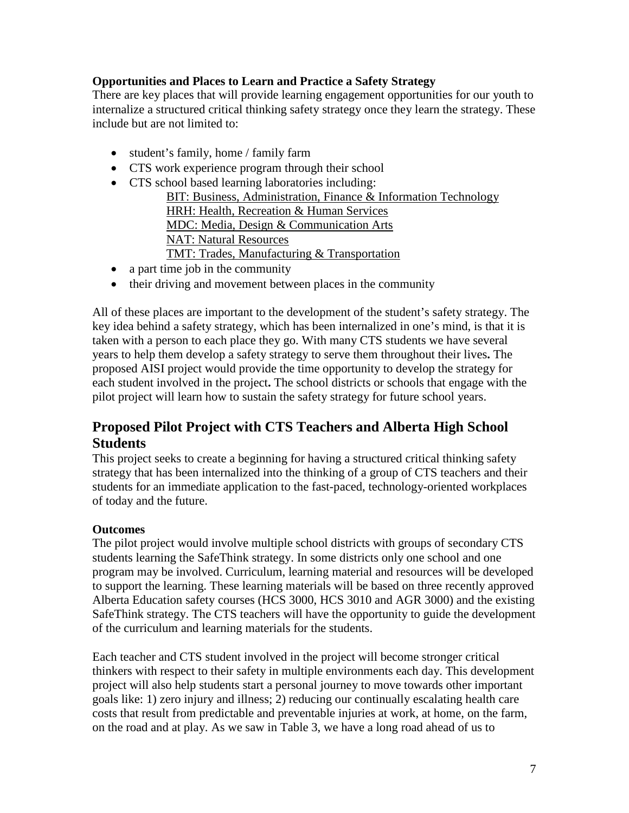### **Opportunities and Places to Learn and Practice a Safety Strategy**

There are key places that will provide learning engagement opportunities for our youth to internalize a structured critical thinking safety strategy once they learn the strategy. These include but are not limited to:

- student's family, home / family farm
- CTS work experience program through their school
- CTS school based learning laboratories including:
	- [BIT: Business, Administration, Finance & Information Technology](http://education.alberta.ca/teachers/program/cts/program-of-studies/bit.aspx) [HRH: Health, Recreation & Human Services](http://education.alberta.ca/teachers/program/cts/program-of-studies/hrh.aspx) [MDC: Media, Design & Communication Arts](http://education.alberta.ca/teachers/program/cts/program-of-studies/mdc.aspx) [NAT: Natural Resources](http://education.alberta.ca/teachers/program/cts/program-of-studies/nat.aspx) [TMT: Trades, Manufacturing & Transportation](http://education.alberta.ca/teachers/program/cts/program-of-studies/tmt.aspx)
- a part time job in the community
- their driving and movement between places in the community

All of these places are important to the development of the student's safety strategy. The key idea behind a safety strategy, which has been internalized in one's mind, is that it is taken with a person to each place they go. With many CTS students we have several years to help them develop a safety strategy to serve them throughout their lives**.** The proposed AISI project would provide the time opportunity to develop the strategy for each student involved in the project**.** The school districts or schools that engage with the pilot project will learn how to sustain the safety strategy for future school years.

# **Proposed Pilot Project with CTS Teachers and Alberta High School Students**

This project seeks to create a beginning for having a structured critical thinking safety strategy that has been internalized into the thinking of a group of CTS teachers and their students for an immediate application to the fast-paced, technology-oriented workplaces of today and the future.

### **Outcomes**

The pilot project would involve multiple school districts with groups of secondary CTS students learning the SafeThink strategy. In some districts only one school and one program may be involved. Curriculum, learning material and resources will be developed to support the learning. These learning materials will be based on three recently approved Alberta Education safety courses (HCS 3000, HCS 3010 and AGR 3000) and the existing SafeThink strategy. The CTS teachers will have the opportunity to guide the development of the curriculum and learning materials for the students.

Each teacher and CTS student involved in the project will become stronger critical thinkers with respect to their safety in multiple environments each day. This development project will also help students start a personal journey to move towards other important goals like: 1) zero injury and illness; 2) reducing our continually escalating health care costs that result from predictable and preventable injuries at work, at home, on the farm, on the road and at play. As we saw in Table 3, we have a long road ahead of us to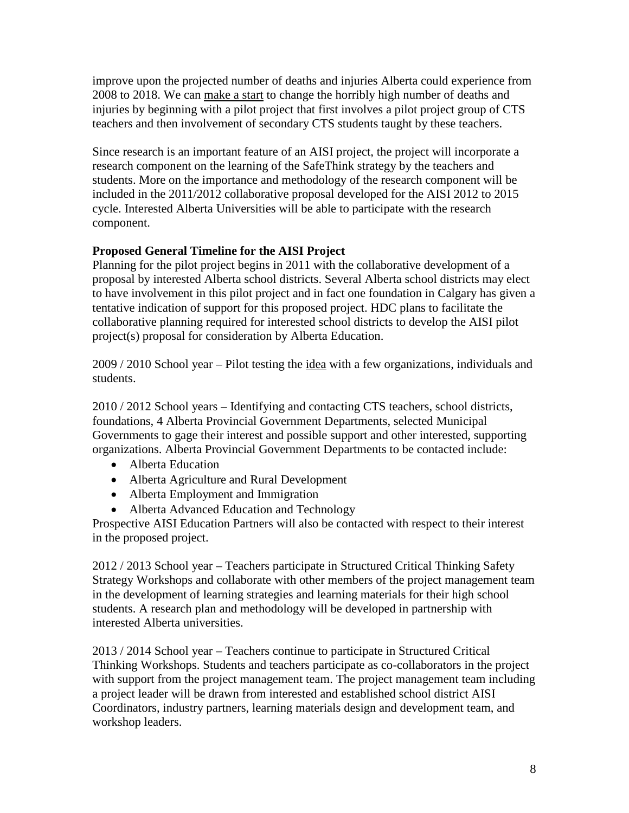improve upon the projected number of deaths and injuries Alberta could experience from 2008 to 2018. We can make a start to change the horribly high number of deaths and injuries by beginning with a pilot project that first involves a pilot project group of CTS teachers and then involvement of secondary CTS students taught by these teachers.

Since research is an important feature of an AISI project, the project will incorporate a research component on the learning of the SafeThink strategy by the teachers and students. More on the importance and methodology of the research component will be included in the 2011/2012 collaborative proposal developed for the AISI 2012 to 2015 cycle. Interested Alberta Universities will be able to participate with the research component.

## **Proposed General Timeline for the AISI Project**

Planning for the pilot project begins in 2011 with the collaborative development of a proposal by interested Alberta school districts. Several Alberta school districts may elect to have involvement in this pilot project and in fact one foundation in Calgary has given a tentative indication of support for this proposed project. HDC plans to facilitate the collaborative planning required for interested school districts to develop the AISI pilot project(s) proposal for consideration by Alberta Education.

2009 / 2010 School year – Pilot testing the idea with a few organizations, individuals and students.

2010 / 2012 School years – Identifying and contacting CTS teachers, school districts, foundations, 4 Alberta Provincial Government Departments, selected Municipal Governments to gage their interest and possible support and other interested, supporting organizations. Alberta Provincial Government Departments to be contacted include:

- Alberta Education
- Alberta Agriculture and Rural Development
- Alberta Employment and Immigration
- Alberta Advanced Education and Technology

Prospective AISI Education Partners will also be contacted with respect to their interest in the proposed project.

2012 / 2013 School year – Teachers participate in Structured Critical Thinking Safety Strategy Workshops and collaborate with other members of the project management team in the development of learning strategies and learning materials for their high school students. A research plan and methodology will be developed in partnership with interested Alberta universities.

2013 / 2014 School year – Teachers continue to participate in Structured Critical Thinking Workshops. Students and teachers participate as co-collaborators in the project with support from the project management team. The project management team including a project leader will be drawn from interested and established school district AISI Coordinators, industry partners, learning materials design and development team, and workshop leaders.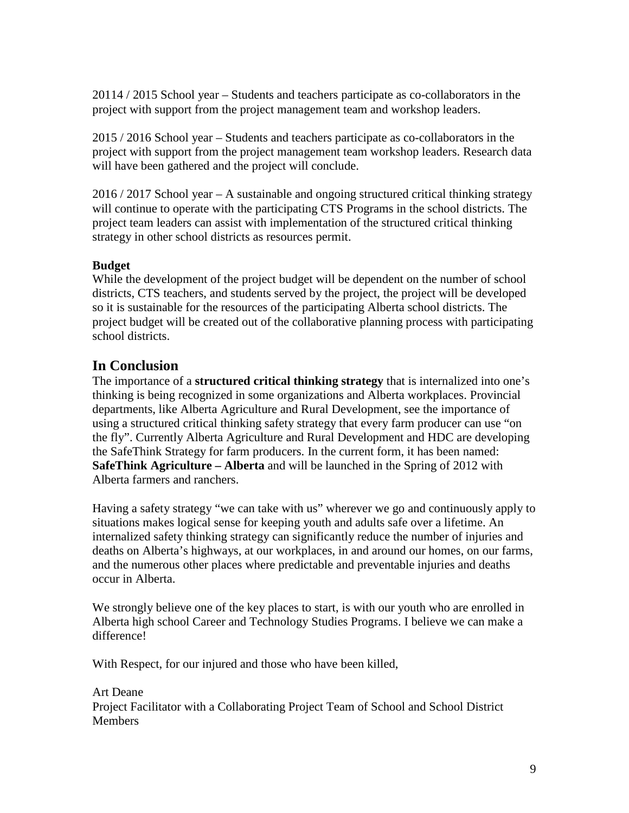20114 / 2015 School year – Students and teachers participate as co-collaborators in the project with support from the project management team and workshop leaders.

2015 / 2016 School year – Students and teachers participate as co-collaborators in the project with support from the project management team workshop leaders. Research data will have been gathered and the project will conclude.

2016 / 2017 School year – A sustainable and ongoing structured critical thinking strategy will continue to operate with the participating CTS Programs in the school districts. The project team leaders can assist with implementation of the structured critical thinking strategy in other school districts as resources permit.

## **Budget**

While the development of the project budget will be dependent on the number of school districts, CTS teachers, and students served by the project, the project will be developed so it is sustainable for the resources of the participating Alberta school districts. The project budget will be created out of the collaborative planning process with participating school districts.

# **In Conclusion**

The importance of a **structured critical thinking strategy** that is internalized into one's thinking is being recognized in some organizations and Alberta workplaces. Provincial departments, like Alberta Agriculture and Rural Development, see the importance of using a structured critical thinking safety strategy that every farm producer can use "on the fly". Currently Alberta Agriculture and Rural Development and HDC are developing the SafeThink Strategy for farm producers. In the current form, it has been named: **SafeThink Agriculture – Alberta** and will be launched in the Spring of 2012 with Alberta farmers and ranchers.

Having a safety strategy "we can take with us" wherever we go and continuously apply to situations makes logical sense for keeping youth and adults safe over a lifetime. An internalized safety thinking strategy can significantly reduce the number of injuries and deaths on Alberta's highways, at our workplaces, in and around our homes, on our farms, and the numerous other places where predictable and preventable injuries and deaths occur in Alberta.

We strongly believe one of the key places to start, is with our youth who are enrolled in Alberta high school Career and Technology Studies Programs. I believe we can make a difference!

With Respect, for our injured and those who have been killed,

### Art Deane

Project Facilitator with a Collaborating Project Team of School and School District **Members**